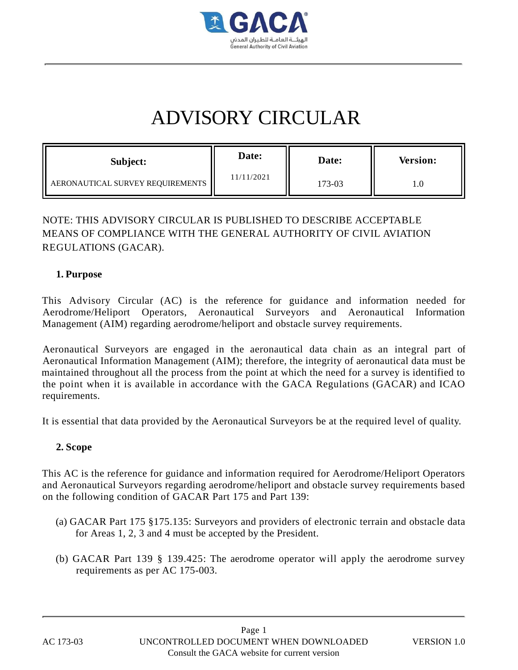

# ADVISORY CIRCULAR

| Subject:                         | Date:      | Date:  | <b>Version:</b> |
|----------------------------------|------------|--------|-----------------|
| AERONAUTICAL SURVEY REQUIREMENTS | 11/11/2021 | 173-03 |                 |

## NOTE: THIS ADVISORY CIRCULAR IS PUBLISHED TO DESCRIBE ACCEPTABLE MEANS OF COMPLIANCE WITH THE GENERAL AUTHORITY OF CIVIL AVIATION REGULATIONS (GACAR).

#### **1. Purpose**

This Advisory Circular (AC) is the reference for guidance and information needed for Aerodrome/Heliport Operators, Aeronautical Surveyors and Aeronautical Information Management (AIM) regarding aerodrome/heliport and obstacle survey requirements.

Aeronautical Surveyors are engaged in the aeronautical data chain as an integral part of Aeronautical Information Management (AIM); therefore, the integrity of aeronautical data must be maintained throughout all the process from the point at which the need for a survey is identified to the point when it is available in accordance with the GACA Regulations (GACAR) and ICAO requirements.

It is essential that data provided by the Aeronautical Surveyors be at the required level of quality.

## **2. Scope**

This AC is the reference for guidance and information required for Aerodrome/Heliport Operators and Aeronautical Surveyors regarding aerodrome/heliport and obstacle survey requirements based on the following condition of GACAR Part 175 and Part 139:

- (a) GACAR Part 175 §175.135: Surveyors and providers of electronic terrain and obstacle data for Areas 1, 2, 3 and 4 must be accepted by the President.
- (b) GACAR Part 139 § 139.425: The aerodrome operator will apply the aerodrome survey requirements as per AC 175-003.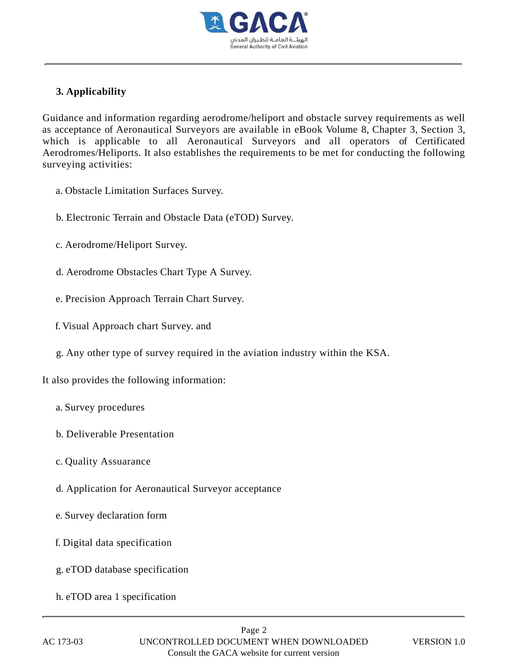

## **3. Applicability**

Guidance and information regarding aerodrome/heliport and obstacle survey requirements as well as acceptance of Aeronautical Surveyors are available in eBook Volume 8, Chapter 3, Section 3, which is applicable to all Aeronautical Surveyors and all operators of Certificated Aerodromes/Heliports. It also establishes the requirements to be met for conducting the following surveying activities:

- a. Obstacle Limitation Surfaces Survey.
- b. Electronic Terrain and Obstacle Data (eTOD) Survey.
- c. Aerodrome/Heliport Survey.
- d. Aerodrome Obstacles Chart Type A Survey.
- e. Precision Approach Terrain Chart Survey.
- f. Visual Approach chart Survey. and
- g. Any other type of survey required in the aviation industry within the KSA.

#### It also provides the following information:

- a. Survey procedures
- b. Deliverable Presentation
- c. Quality Assuarance
- d. Application for Aeronautical Surveyor acceptance
- e. Survey declaration form
- f. Digital data specification
- g. eTOD database specification
- h. eTOD area 1 specification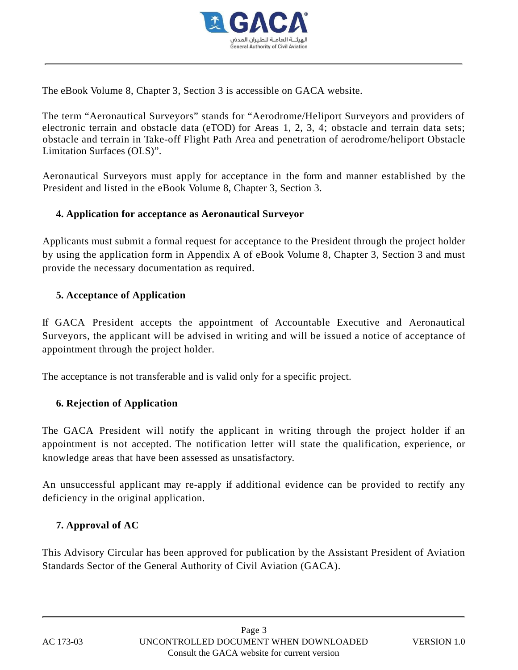

The eBook Volume 8, Chapter 3, Section 3 is accessible on GACA website.

The term "Aeronautical Surveyors" stands for "Aerodrome/Heliport Surveyors and providers of electronic terrain and obstacle data (eTOD) for Areas 1, 2, 3, 4; obstacle and terrain data sets; obstacle and terrain in Take-off Flight Path Area and penetration of aerodrome/heliport Obstacle Limitation Surfaces (OLS)".

Aeronautical Surveyors must apply for acceptance in the form and manner established by the President and listed in the eBook Volume 8, Chapter 3, Section 3.

### **4. Application for acceptance as Aeronautical Surveyor**

Applicants must submit a formal request for acceptance to the President through the project holder by using the application form in Appendix A of eBook Volume 8, Chapter 3, Section 3 and must provide the necessary documentation as required.

## **5. Acceptance of Application**

If GACA President accepts the appointment of Accountable Executive and Aeronautical Surveyors, the applicant will be advised in writing and will be issued a notice of acceptance of appointment through the project holder.

The acceptance is not transferable and is valid only for a specific project.

## **6. Rejection of Application**

The GACA President will notify the applicant in writing through the project holder if an appointment is not accepted. The notification letter will state the qualification, experience, or knowledge areas that have been assessed as unsatisfactory.

An unsuccessful applicant may re-apply if additional evidence can be provided to rectify any deficiency in the original application.

## **7. Approval of AC**

This Advisory Circular has been approved for publication by the Assistant President of Aviation Standards Sector of the General Authority of Civil Aviation (GACA).